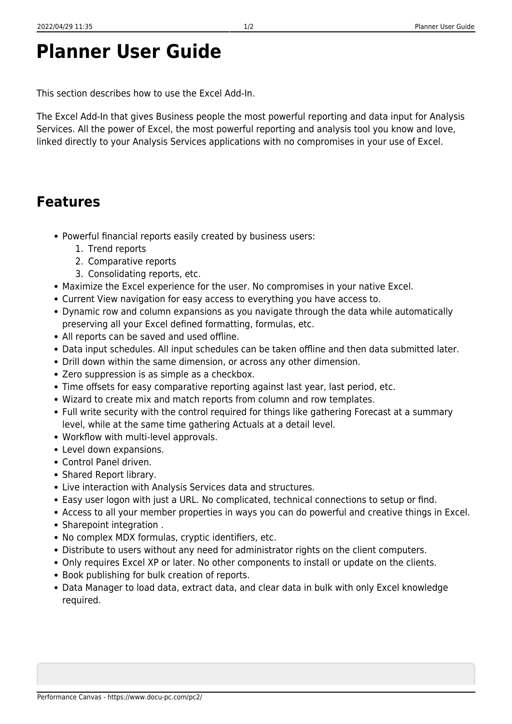## **Planner User Guide**

This section describes how to use the Excel Add-In.

The Excel Add-In that gives Business people the most powerful reporting and data input for Analysis Services. All the power of Excel, the most powerful reporting and analysis tool you know and love, linked directly to your Analysis Services applications with no compromises in your use of Excel.

## **Features**

- Powerful financial reports easily created by business users:
	- 1. Trend reports
	- 2. Comparative reports
	- 3. Consolidating reports, etc.
- Maximize the Excel experience for the user. No compromises in your native Excel.
- Current View navigation for easy access to everything you have access to.
- Dynamic row and column expansions as you navigate through the data while automatically preserving all your Excel defined formatting, formulas, etc.
- All reports can be saved and used offline.
- Data input schedules. All input schedules can be taken offline and then data submitted later.
- Drill down within the same dimension, or across any other dimension.
- Zero suppression is as simple as a checkbox.
- Time offsets for easy comparative reporting against last year, last period, etc.
- Wizard to create mix and match reports from column and row templates.
- Full write security with the control required for things like gathering Forecast at a summary level, while at the same time gathering Actuals at a detail level.
- Workflow with multi-level approvals.
- Level down expansions.
- Control Panel driven.
- Shared Report library.
- Live interaction with Analysis Services data and structures.
- Easy user logon with just a URL. No complicated, technical connections to setup or find.
- Access to all your member properties in ways you can do powerful and creative things in Excel.
- Sharepoint integration .
- No complex MDX formulas, cryptic identifiers, etc.
- Distribute to users without any need for administrator rights on the client computers.
- Only requires Excel XP or later. No other components to install or update on the clients.
- Book publishing for bulk creation of reports.
- Data Manager to load data, extract data, and clear data in bulk with only Excel knowledge required.